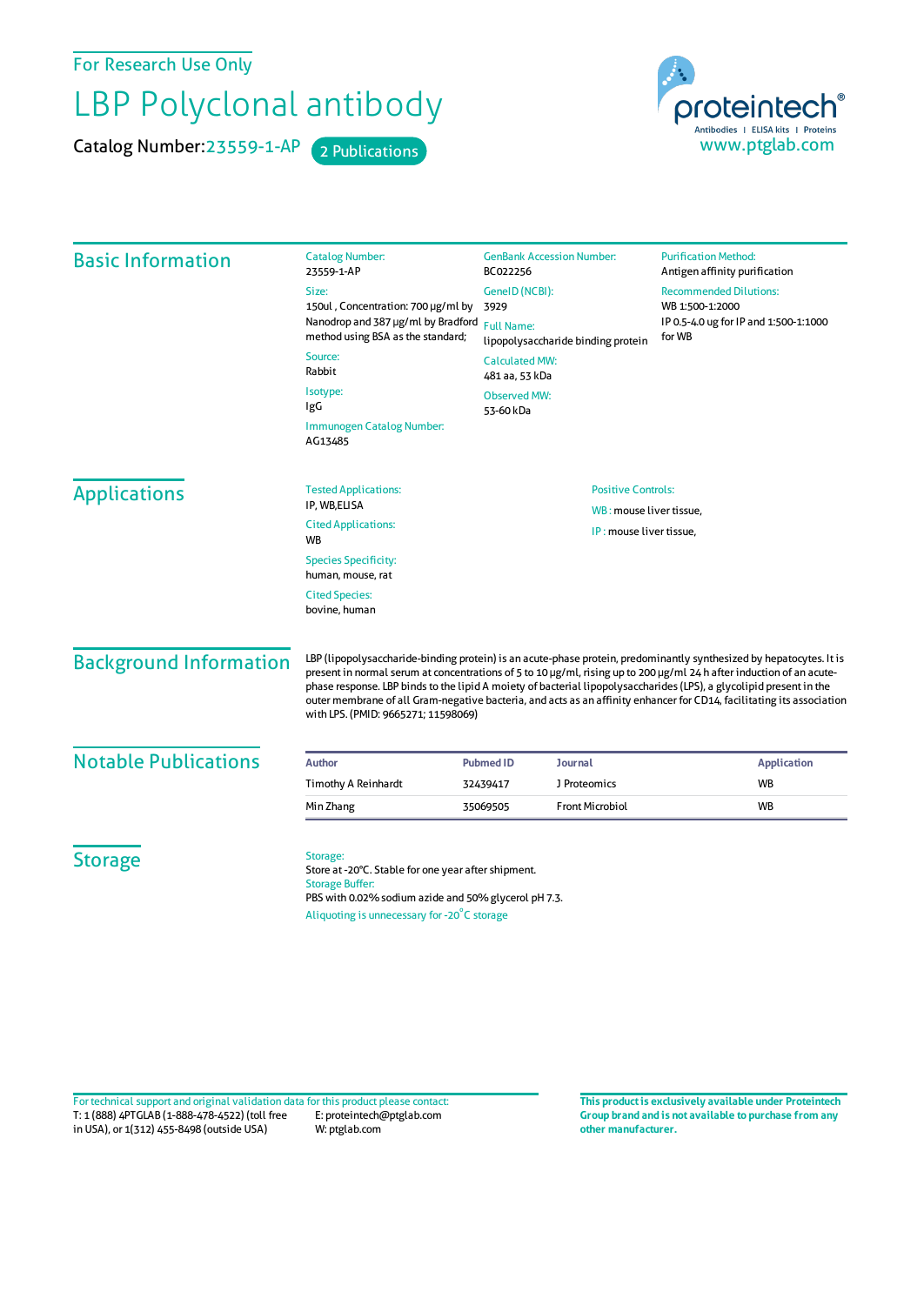For Research Use Only

## LBP Polyclonal antibody

Catalog Number: 23559-1-AP 2 Publications



| <b>Basic Information</b>      | <b>Catalog Number:</b><br>23559-1-AP                                                                                                                                                                                                                                                                                                                                                                                                                                                                                               | <b>GenBank Accession Number:</b><br>BC022256                                    | <b>Purification Method:</b><br>Antigen affinity purification |
|-------------------------------|------------------------------------------------------------------------------------------------------------------------------------------------------------------------------------------------------------------------------------------------------------------------------------------------------------------------------------------------------------------------------------------------------------------------------------------------------------------------------------------------------------------------------------|---------------------------------------------------------------------------------|--------------------------------------------------------------|
|                               | Size:<br>150ul, Concentration: 700 µg/ml by                                                                                                                                                                                                                                                                                                                                                                                                                                                                                        | GeneID (NCBI):<br>3929                                                          | <b>Recommended Dilutions:</b><br>WB 1:500-1:2000             |
|                               | Nanodrop and 387 µg/ml by Bradford<br>method using BSA as the standard;                                                                                                                                                                                                                                                                                                                                                                                                                                                            | <b>Full Name:</b><br>lipopolysaccharide binding protein                         | IP 0.5-4.0 ug for IP and 1:500-1:1000<br>for WB              |
|                               | Source:<br>Rabbit                                                                                                                                                                                                                                                                                                                                                                                                                                                                                                                  | <b>Calculated MW:</b><br>481 aa, 53 kDa                                         |                                                              |
|                               | Isotype:<br>IgG                                                                                                                                                                                                                                                                                                                                                                                                                                                                                                                    | <b>Observed MW:</b><br>53-60 kDa                                                |                                                              |
|                               | Immunogen Catalog Number:<br>AG13485                                                                                                                                                                                                                                                                                                                                                                                                                                                                                               |                                                                                 |                                                              |
| <b>Applications</b>           | <b>Tested Applications:</b><br>IP, WB,ELISA                                                                                                                                                                                                                                                                                                                                                                                                                                                                                        | <b>Positive Controls:</b><br>WB: mouse liver tissue,<br>IP: mouse liver tissue, |                                                              |
|                               | <b>Cited Applications:</b><br><b>WB</b>                                                                                                                                                                                                                                                                                                                                                                                                                                                                                            |                                                                                 |                                                              |
|                               | <b>Species Specificity:</b><br>human, mouse, rat                                                                                                                                                                                                                                                                                                                                                                                                                                                                                   |                                                                                 |                                                              |
|                               | <b>Cited Species:</b><br>bovine, human                                                                                                                                                                                                                                                                                                                                                                                                                                                                                             |                                                                                 |                                                              |
| <b>Background Information</b> | LBP (lipopolysaccharide-binding protein) is an acute-phase protein, predominantly synthesized by hepatocytes. It is<br>present in normal serum at concentrations of 5 to 10 µg/ml, rising up to 200 µg/ml 24 h after induction of an acute-<br>phase response. LBP binds to the lipid A moiety of bacterial lipopolysaccharides (LPS), a glycolipid present in the<br>outer membrane of all Gram-negative bacteria, and acts as an affinity enhancer for CD14, facilitating its association<br>with LPS. (PMID: 9665271; 11598069) |                                                                                 |                                                              |
| <b>Notable Publications</b>   | <b>Author</b>                                                                                                                                                                                                                                                                                                                                                                                                                                                                                                                      | <b>Pubmed ID</b><br><b>Journal</b>                                              | <b>Application</b>                                           |
|                               | Timothy A Reinhardt                                                                                                                                                                                                                                                                                                                                                                                                                                                                                                                | J Proteomics<br>32439417                                                        | <b>WB</b>                                                    |
|                               | Min Zhang                                                                                                                                                                                                                                                                                                                                                                                                                                                                                                                          | <b>Front Microbiol</b><br>35069505                                              | <b>WB</b>                                                    |
| <b>Storage</b>                | Storage:<br>Store at -20°C. Stable for one year after shipment.<br><b>Storage Buffer:</b><br>PBS with 0.02% sodium azide and 50% glycerol pH 7.3.<br>Aliquoting is unnecessary for -20°C storage                                                                                                                                                                                                                                                                                                                                   |                                                                                 |                                                              |

T: 1 (888) 4PTGLAB (1-888-478-4522) (toll free in USA), or 1(312) 455-8498 (outside USA) E: proteintech@ptglab.com W: ptglab.com Fortechnical support and original validation data forthis product please contact: **This productis exclusively available under Proteintech**

**Group brand and is not available to purchase from any other manufacturer.**